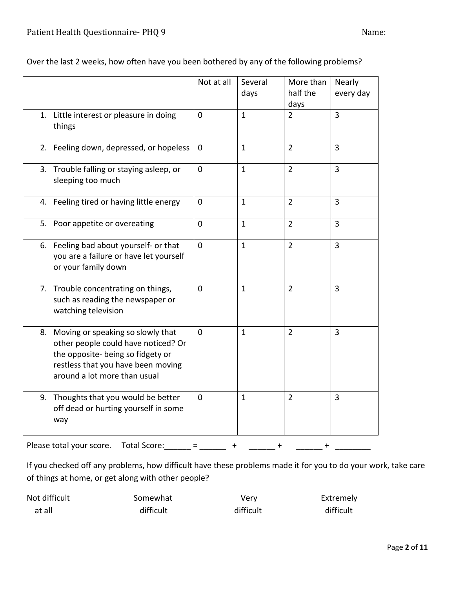|    |                                                                                                                                                                                     | Not at all  | Several<br>days | More than<br>half the<br>days | Nearly<br>every day |
|----|-------------------------------------------------------------------------------------------------------------------------------------------------------------------------------------|-------------|-----------------|-------------------------------|---------------------|
|    | 1. Little interest or pleasure in doing<br>things                                                                                                                                   | $\Omega$    | $\mathbf{1}$    | $\overline{2}$                | $\overline{3}$      |
|    | 2. Feeling down, depressed, or hopeless                                                                                                                                             | $\mathbf 0$ | $\mathbf{1}$    | $\overline{2}$                | $\overline{3}$      |
| 3. | Trouble falling or staying asleep, or<br>sleeping too much                                                                                                                          | $\Omega$    | $\mathbf{1}$    | $\overline{2}$                | $\overline{3}$      |
|    | 4. Feeling tired or having little energy                                                                                                                                            | $\mathbf 0$ | $\mathbf{1}$    | $\overline{2}$                | $\overline{3}$      |
|    | 5. Poor appetite or overeating                                                                                                                                                      | $\mathbf 0$ | $\mathbf{1}$    | $\overline{2}$                | $\overline{3}$      |
|    | 6. Feeling bad about yourself- or that<br>you are a failure or have let yourself<br>or your family down                                                                             | $\mathbf 0$ | $\mathbf{1}$    | $\overline{2}$                | $\overline{3}$      |
|    | 7. Trouble concentrating on things,<br>such as reading the newspaper or<br>watching television                                                                                      | $\Omega$    | $\mathbf{1}$    | $\overline{2}$                | 3                   |
| 8. | Moving or speaking so slowly that<br>other people could have noticed? Or<br>the opposite- being so fidgety or<br>restless that you have been moving<br>around a lot more than usual | $\Omega$    | $\mathbf{1}$    | $\overline{2}$                | 3                   |
|    | 9. Thoughts that you would be better<br>off dead or hurting yourself in some<br>way                                                                                                 | $\Omega$    | $\mathbf{1}$    | $\overline{2}$                | 3                   |

Over the last 2 weeks, how often have you been bothered by any of the following problems?

Please total your score. Total Score: \_\_\_\_\_\_ = \_\_\_\_\_\_ + \_\_\_\_\_\_ + \_\_\_\_\_\_ + \_\_\_\_\_\_

If you checked off any problems, how difficult have these problems made it for you to do your work, take care of things at home, or get along with other people?

| Not difficult | Somewhat  | Verv      | Extremely |
|---------------|-----------|-----------|-----------|
| at all        | difficult | difficult | difficult |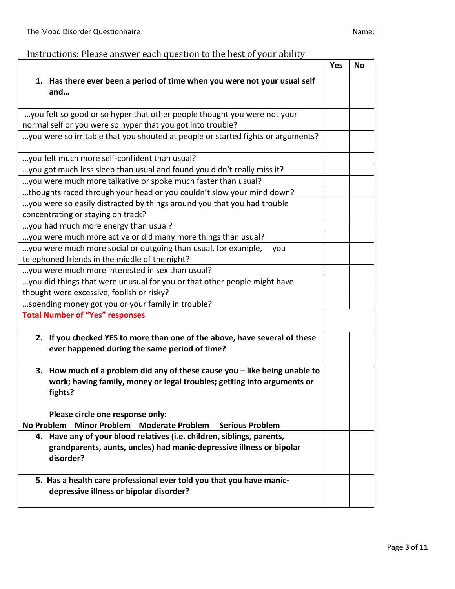# Instructions: Please answer each question to the best of your ability

|                                                                                                                                                                  | Yes | No |
|------------------------------------------------------------------------------------------------------------------------------------------------------------------|-----|----|
| 1. Has there ever been a period of time when you were not your usual self<br>and                                                                                 |     |    |
| you felt so good or so hyper that other people thought you were not your                                                                                         |     |    |
| normal self or you were so hyper that you got into trouble?<br>you were so irritable that you shouted at people or started fights or arguments?                  |     |    |
| you felt much more self-confident than usual?                                                                                                                    |     |    |
| you got much less sleep than usual and found you didn't really miss it?                                                                                          |     |    |
| you were much more talkative or spoke much faster than usual?                                                                                                    |     |    |
| thoughts raced through your head or you couldn't slow your mind down?                                                                                            |     |    |
| you were so easily distracted by things around you that you had trouble<br>concentrating or staying on track?                                                    |     |    |
| you had much more energy than usual?                                                                                                                             |     |    |
| you were much more active or did many more things than usual?                                                                                                    |     |    |
| you were much more social or outgoing than usual, for example,<br>you<br>telephoned friends in the middle of the night?                                          |     |    |
| you were much more interested in sex than usual?                                                                                                                 |     |    |
| you did things that were unusual for you or that other people might have                                                                                         |     |    |
| thought were excessive, foolish or risky?                                                                                                                        |     |    |
| spending money got you or your family in trouble?                                                                                                                |     |    |
| <b>Total Number of "Yes" responses</b>                                                                                                                           |     |    |
| 2. If you checked YES to more than one of the above, have several of these<br>ever happened during the same period of time?                                      |     |    |
| 3. How much of a problem did any of these cause you - like being unable to<br>work; having family, money or legal troubles; getting into arguments or<br>fights? |     |    |
| Please circle one response only:<br><b>Minor Problem</b><br><b>Moderate Problem</b><br><b>No Problem</b><br><b>Serious Problem</b>                               |     |    |
| 4. Have any of your blood relatives (i.e. children, siblings, parents,<br>grandparents, aunts, uncles) had manic-depressive illness or bipolar<br>disorder?      |     |    |
| 5. Has a health care professional ever told you that you have manic-<br>depressive illness or bipolar disorder?                                                  |     |    |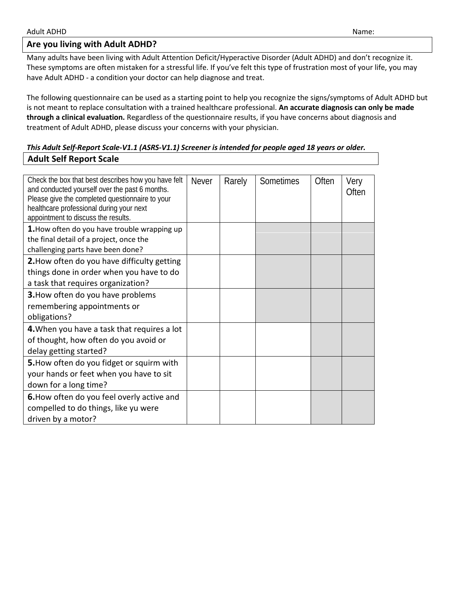#### **Are you living with Adult ADHD?**

Many adults have been living with Adult Attention Deficit/Hyperactive Disorder (Adult ADHD) and don't recognize it. These symptoms are often mistaken for a stressful life. If you've felt this type of frustration most of your life, you may have Adult ADHD - a condition your doctor can help diagnose and treat.

The following questionnaire can be used as a starting point to help you recognize the signs/symptoms of Adult ADHD but is not meant to replace consultation with a trained healthcare professional. **An accurate diagnosis can only be made through a clinical evaluation.** Regardless of the questionnaire results, if you have concerns about diagnosis and treatment of Adult ADHD, please discuss your concerns with your physician.

### *This Adult Self-Report Scale-V1.1 (ASRS-V1.1) Screener is intended for people aged 18 years or older.*  **Adult Self Report Scale**

| Check the box that best describes how you have felt<br>and conducted yourself over the past 6 months.<br>Please give the completed questionnaire to your<br>healthcare professional during your next<br>appointment to discuss the results. | <b>Never</b> | Rarely | Sometimes | Often | Very<br>Often |
|---------------------------------------------------------------------------------------------------------------------------------------------------------------------------------------------------------------------------------------------|--------------|--------|-----------|-------|---------------|
| 1. How often do you have trouble wrapping up<br>the final detail of a project, once the<br>challenging parts have been done?                                                                                                                |              |        |           |       |               |
| 2. How often do you have difficulty getting<br>things done in order when you have to do<br>a task that requires organization?                                                                                                               |              |        |           |       |               |
| <b>3.</b> How often do you have problems<br>remembering appointments or<br>obligations?                                                                                                                                                     |              |        |           |       |               |
| 4. When you have a task that requires a lot<br>of thought, how often do you avoid or<br>delay getting started?                                                                                                                              |              |        |           |       |               |
| <b>5.</b> How often do you fidget or squirm with<br>your hands or feet when you have to sit<br>down for a long time?                                                                                                                        |              |        |           |       |               |
| <b>6.</b> How often do you feel overly active and<br>compelled to do things, like yu were<br>driven by a motor?                                                                                                                             |              |        |           |       |               |